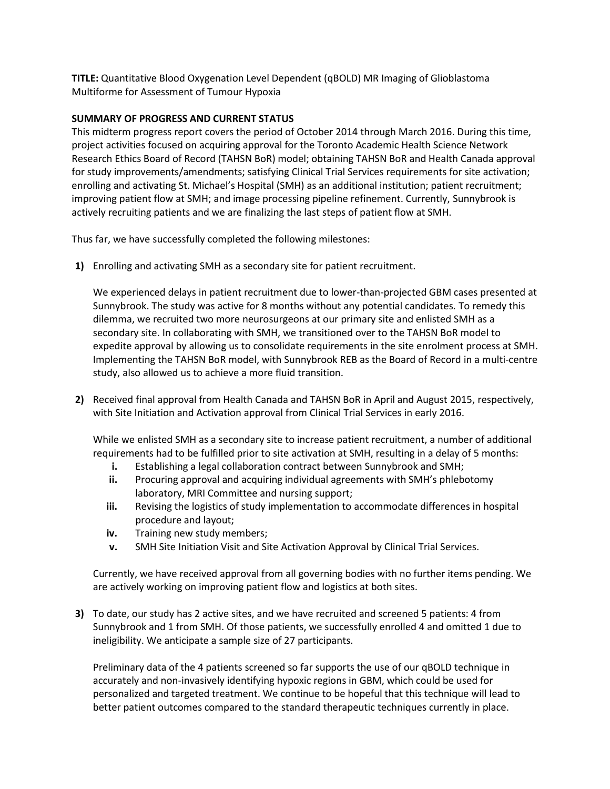**TITLE:** Quantitative Blood Oxygenation Level Dependent (qBOLD) MR Imaging of Glioblastoma Multiforme for Assessment of Tumour Hypoxia

## **SUMMARY OF PROGRESS AND CURRENT STATUS**

This midterm progress report covers the period of October 2014 through March 2016. During this time, project activities focused on acquiring approval for the Toronto Academic Health Science Network Research Ethics Board of Record (TAHSN BoR) model; obtaining TAHSN BoR and Health Canada approval for study improvements/amendments; satisfying Clinical Trial Services requirements for site activation; enrolling and activating St. Michael's Hospital (SMH) as an additional institution; patient recruitment; improving patient flow at SMH; and image processing pipeline refinement. Currently, Sunnybrook is actively recruiting patients and we are finalizing the last steps of patient flow at SMH.

Thus far, we have successfully completed the following milestones:

**1)** Enrolling and activating SMH as a secondary site for patient recruitment.

We experienced delays in patient recruitment due to lower-than-projected GBM cases presented at Sunnybrook. The study was active for 8 months without any potential candidates. To remedy this dilemma, we recruited two more neurosurgeons at our primary site and enlisted SMH as a secondary site. In collaborating with SMH, we transitioned over to the TAHSN BoR model to expedite approval by allowing us to consolidate requirements in the site enrolment process at SMH. Implementing the TAHSN BoR model, with Sunnybrook REB as the Board of Record in a multi-centre study, also allowed us to achieve a more fluid transition.

**2)** Received final approval from Health Canada and TAHSN BoR in April and August 2015, respectively, with Site Initiation and Activation approval from Clinical Trial Services in early 2016.

While we enlisted SMH as a secondary site to increase patient recruitment, a number of additional requirements had to be fulfilled prior to site activation at SMH, resulting in a delay of 5 months:

- **i.** Establishing a legal collaboration contract between Sunnybrook and SMH;
- **ii.** Procuring approval and acquiring individual agreements with SMH's phlebotomy laboratory, MRI Committee and nursing support;
- **iii.** Revising the logistics of study implementation to accommodate differences in hospital procedure and layout;
- **iv.** Training new study members;
- **v.** SMH Site Initiation Visit and Site Activation Approval by Clinical Trial Services.

Currently, we have received approval from all governing bodies with no further items pending. We are actively working on improving patient flow and logistics at both sites.

**3)** To date, our study has 2 active sites, and we have recruited and screened 5 patients: 4 from Sunnybrook and 1 from SMH. Of those patients, we successfully enrolled 4 and omitted 1 due to ineligibility. We anticipate a sample size of 27 participants.

Preliminary data of the 4 patients screened so far supports the use of our qBOLD technique in accurately and non-invasively identifying hypoxic regions in GBM, which could be used for personalized and targeted treatment. We continue to be hopeful that this technique will lead to better patient outcomes compared to the standard therapeutic techniques currently in place.